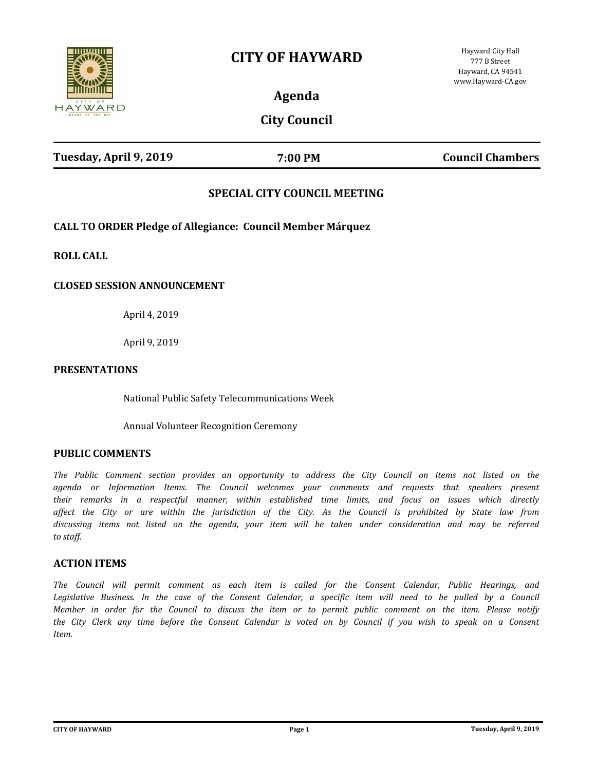# **CITY OF HAYWARD**



**Agenda**

## **City Council**

| Tuesday, April 9, 2019 | 7:00 PM | <b>Council Chambers</b> |
|------------------------|---------|-------------------------|
|                        |         |                         |

### **SPECIAL CITY COUNCIL MEETING**

**CALL TO ORDER Pledge of Allegiance: Council Member Márquez**

**ROLL CALL**

#### **CLOSED SESSION ANNOUNCEMENT**

April 4, 2019

April 9, 2019

#### **PRESENTATIONS**

National Public Safety Telecommunications Week

Annual Volunteer Recognition Ceremony

#### **PUBLIC COMMENTS**

*The Public Comment section provides an opportunity to address the City Council on items not listed on the agenda or Information Items. The Council welcomes your comments and requests that speakers present their remarks in a respectful manner, within established time limits, and focus on issues which directly affect the City or are within the jurisdiction of the City. As the Council is prohibited by State law from discussing items not listed on the agenda, your item will be taken under consideration and may be referred to staff.*

#### **ACTION ITEMS**

*The Council will permit comment as each item is called for the Consent Calendar, Public Hearings, and*  Legislative Business. In the case of the Consent Calendar, a specific item will need to be pulled by a Council *Member in order for the Council to discuss the item or to permit public comment on the item. Please notify the City Clerk any time before the Consent Calendar is voted on by Council if you wish to speak on a Consent Item.*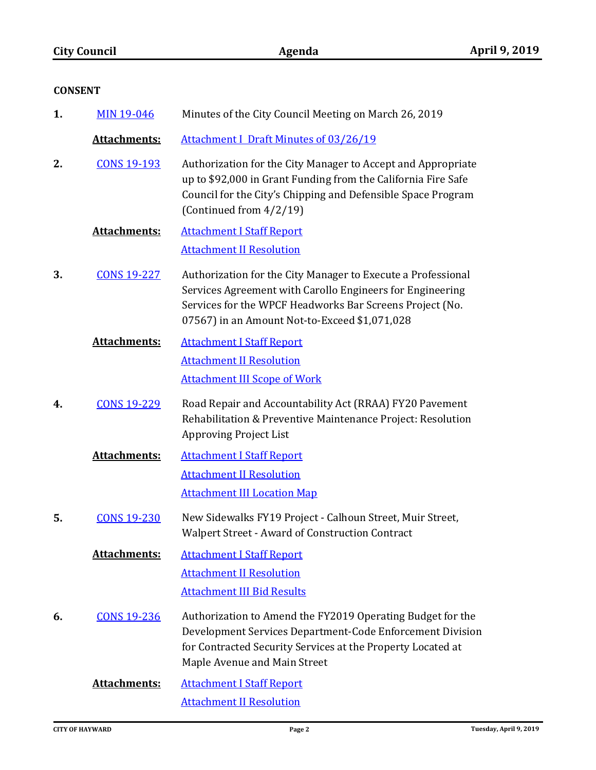|    | <b>CONSENT</b>                      |                                                                                                                                                                                                                                        |
|----|-------------------------------------|----------------------------------------------------------------------------------------------------------------------------------------------------------------------------------------------------------------------------------------|
| 1. | <b>MIN 19-046</b>                   | Minutes of the City Council Meeting on March 26, 2019                                                                                                                                                                                  |
|    | <b>Attachments:</b>                 | <b>Attachment I Draft Minutes of 03/26/19</b>                                                                                                                                                                                          |
| 2. | <b>CONS 19-193</b>                  | Authorization for the City Manager to Accept and Appropriate<br>up to \$92,000 in Grant Funding from the California Fire Safe<br>Council for the City's Chipping and Defensible Space Program<br>(Continued from 4/2/19)               |
|    | Attachments:                        | <b>Attachment I Staff Report</b>                                                                                                                                                                                                       |
|    |                                     | <b>Attachment II Resolution</b>                                                                                                                                                                                                        |
| 3. | <b>CONS 19-227</b>                  | Authorization for the City Manager to Execute a Professional<br>Services Agreement with Carollo Engineers for Engineering<br>Services for the WPCF Headworks Bar Screens Project (No.<br>07567) in an Amount Not-to-Exceed \$1,071,028 |
|    | <b>Attachments:</b>                 | <b>Attachment I Staff Report</b>                                                                                                                                                                                                       |
|    |                                     | <b>Attachment II Resolution</b>                                                                                                                                                                                                        |
|    | <b>Attachment III Scope of Work</b> |                                                                                                                                                                                                                                        |
| 4. | <b>CONS 19-229</b>                  | Road Repair and Accountability Act (RRAA) FY20 Pavement<br>Rehabilitation & Preventive Maintenance Project: Resolution<br><b>Approving Project List</b>                                                                                |
|    | Attachments:                        | <b>Attachment I Staff Report</b>                                                                                                                                                                                                       |
|    |                                     | <b>Attachment II Resolution</b><br><b>Attachment III Location Map</b>                                                                                                                                                                  |
| 5. | <b>CONS 19-230</b>                  | New Sidewalks FY19 Project - Calhoun Street, Muir Street,<br><b>Walpert Street - Award of Construction Contract</b>                                                                                                                    |
|    | <b>Attachments:</b>                 | <b>Attachment I Staff Report</b>                                                                                                                                                                                                       |
|    |                                     | <b>Attachment II Resolution</b>                                                                                                                                                                                                        |
|    | <b>Attachment III Bid Results</b>   |                                                                                                                                                                                                                                        |
| 6. | <b>CONS 19-236</b>                  | Authorization to Amend the FY2019 Operating Budget for the<br>Development Services Department-Code Enforcement Division<br>for Contracted Security Services at the Property Located at<br>Maple Avenue and Main Street                 |
|    | <b>Attachments:</b>                 | <b>Attachment I Staff Report</b>                                                                                                                                                                                                       |
|    |                                     | <b>Attachment II Resolution</b>                                                                                                                                                                                                        |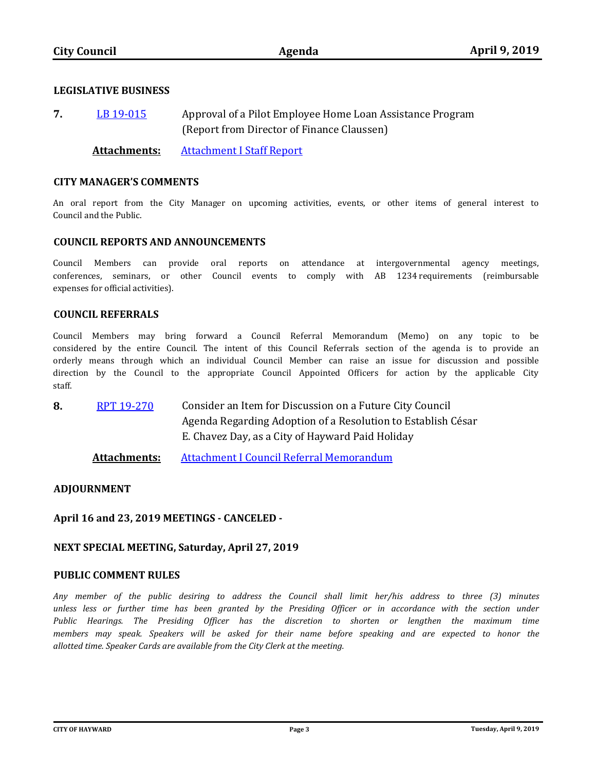#### **LEGISLATIVE BUSINESS**

Approval of a Pilot Employee Home Loan Assistance Program (Report from Director of Finance Claussen) **7.** [LB 19-015](http://hayward.legistar.com/gateway.aspx?m=l&id=/matter.aspx?key=5600)

**Attachments:** [Attachment I Staff Report](http://hayward.legistar.com/gateway.aspx?M=F&ID=0312a890-2077-4793-a480-99a18500cae2.docx)

#### **CITY MANAGER'S COMMENTS**

An oral report from the City Manager on upcoming activities, events, or other items of general interest to Council and the Public.

#### **COUNCIL REPORTS AND ANNOUNCEMENTS**

Council Members can provide oral reports on attendance at intergovernmental agency meetings, conferences, seminars, or other Council events to comply with AB 1234 requirements (reimbursable expenses for official activities).

#### **COUNCIL REFERRALS**

Council Members may bring forward a Council Referral Memorandum (Memo) on any topic to be considered by the entire Council. The intent of this Council Referrals section of the agenda is to provide an orderly means through which an individual Council Member can raise an issue for discussion and possible direction by the Council to the appropriate Council Appointed Officers for action by the applicable City staff.

Consider an Item for Discussion on a Future City Council Agenda Regarding Adoption of a Resolution to Establish César E. Chavez Day, as a City of Hayward Paid Holiday **8.** [RPT 19-270](http://hayward.legistar.com/gateway.aspx?m=l&id=/matter.aspx?key=5699)

**Attachments:** [Attachment I Council Referral Memorandum](http://hayward.legistar.com/gateway.aspx?M=F&ID=a81d6f8d-c47e-4e52-bc08-e425335bb5fa.pdf)

#### **ADJOURNMENT**

#### **April 16 and 23, 2019 MEETINGS - CANCELED -**

#### **NEXT SPECIAL MEETING, Saturday, April 27, 2019**

#### **PUBLIC COMMENT RULES**

*Any member of the public desiring to address the Council shall limit her/his address to three (3) minutes*  unless less or further time has been granted by the Presiding Officer or in accordance with the section under *Public Hearings. The Presiding Officer has the discretion to shorten or lengthen the maximum time members may speak. Speakers will be asked for their name before speaking and are expected to honor the allotted time. Speaker Cards are available from the City Clerk at the meeting.*